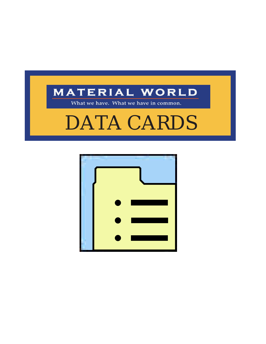

What we have. What we have in common.



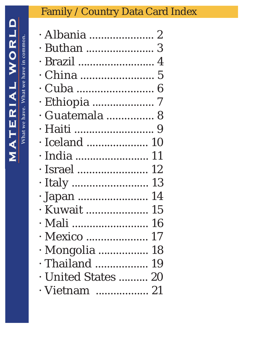| WORL                    | What we have in commo |
|-------------------------|-----------------------|
|                         |                       |
|                         |                       |
| RIAL                    | t we have             |
| ן<br>ו                  |                       |
|                         | $\mathbf{r}$          |
| $\overline{\mathbf{A}}$ |                       |
|                         |                       |

| · Albania  2         |  |
|----------------------|--|
| . Buthan  3          |  |
| · Brazil  4          |  |
| . China  5           |  |
|                      |  |
| · Ethiopia ………………… 7 |  |
| · Guatemala  8       |  |
| · Haiti ………………………… 9 |  |
| Iceland  10          |  |
| · India  11          |  |
| · Israel  12         |  |
|                      |  |
| · Japan  14          |  |
| · Kuwait  15         |  |
| · Mali ……………………. 16  |  |
| · Mexico  17         |  |
| · Mongolia  18       |  |
| · Thailand  19       |  |
| · United States  20  |  |
| · Vietnam  21        |  |
|                      |  |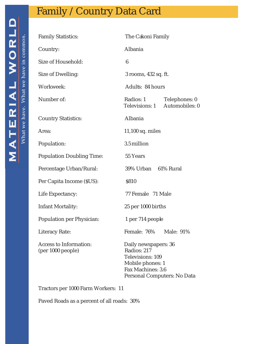<span id="page-2-0"></span>

| <b>Family Statistics:</b>                   | The Cakoni Family                                                                                                               |  |
|---------------------------------------------|---------------------------------------------------------------------------------------------------------------------------------|--|
| Country:                                    | Albania                                                                                                                         |  |
| Size of Household:                          | 6                                                                                                                               |  |
| Size of Dwelling:                           | 3 rooms, 432 sq. ft.                                                                                                            |  |
| Workweek:                                   | Adults: 84 hours                                                                                                                |  |
| Number of:                                  | Radios: 1<br>Telephones: 0<br>Automobiles: 0<br>Televisions: 1                                                                  |  |
| <b>Country Statistics:</b>                  | Albania                                                                                                                         |  |
| Area:                                       | 11,100 sq. miles                                                                                                                |  |
| Population:                                 | 3.5 million                                                                                                                     |  |
| <b>Population Doubling Time:</b>            | 55 Years                                                                                                                        |  |
| Percentage Urban/Rural:                     | 39% Urban 61% Rural                                                                                                             |  |
| Per Capita Income (\$US):                   | \$810                                                                                                                           |  |
| Life Expectancy:                            | 77 Female 71 Male                                                                                                               |  |
| Infant Mortality:                           | 25 per 1000 births                                                                                                              |  |
| Population per Physician:                   | 1 per 714 people                                                                                                                |  |
| Literacy Rate:                              | Female: 76% Male: 91%                                                                                                           |  |
| Access to Information:<br>(per 1000 people) | Daily newspapers: 36<br>Radios: 217<br>Televisions: 109<br>Mobile phones: 1<br>Fax Machines: 3.6<br>Personal Computers: No Data |  |

Tractors per 1000 Farm Workers: 11

Paved Roads as a percent of all roads: 30%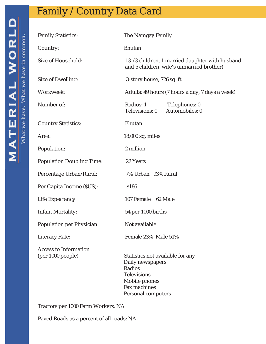<span id="page-3-0"></span>

| <b>Family Statistics:</b>                         | The Namgay Family                                                                                                                           |
|---------------------------------------------------|---------------------------------------------------------------------------------------------------------------------------------------------|
| Country:                                          | <b>Bhutan</b>                                                                                                                               |
| Size of Household:                                | 13 (3 children, 1 married daughter with husband<br>and 5 children, wife's unmarried brother)                                                |
| Size of Dwelling:                                 | 3-story house, 726 sq. ft.                                                                                                                  |
| Workweek:                                         | Adults: 49 hours (7 hours a day, 7 days a week)                                                                                             |
| Number of:                                        | Radios: 1<br>Telephones: 0<br>Automobiles: 0<br>Televisions: 0                                                                              |
| <b>Country Statistics:</b>                        | <b>Bhutan</b>                                                                                                                               |
| Area:                                             | 18,000 sq. miles                                                                                                                            |
| Population:                                       | 2 million                                                                                                                                   |
| <b>Population Doubling Time:</b>                  | 22 Years                                                                                                                                    |
| Percentage Urban/Rural:                           | 7% Urban 93% Rural                                                                                                                          |
| Per Capita Income (\$US):                         | \$186                                                                                                                                       |
| Life Expectancy:                                  | 107 Female 62 Male                                                                                                                          |
| Infant Mortality:                                 | 54 per 1000 births                                                                                                                          |
| Population per Physician:                         | Not available                                                                                                                               |
| Literacy Rate:                                    | Female 23% Male 51%                                                                                                                         |
| <b>Access to Information</b><br>(per 1000 people) | Statistics not available for any<br>Daily newspapers<br>Radios<br><b>Televisions</b><br>Mobile phones<br>Fax machines<br>Personal computers |

Tractors per 1000 Farm Workers: NA

Paved Roads as a percent of all roads: NA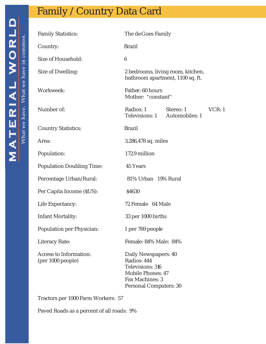<span id="page-4-0"></span>

| <b>Family Statistics:</b>                   | The de Goes Family                                                                                                        |  |        |
|---------------------------------------------|---------------------------------------------------------------------------------------------------------------------------|--|--------|
| Country:                                    | <b>Brazil</b>                                                                                                             |  |        |
| Size of Household:                          | 6                                                                                                                         |  |        |
| Size of Dwelling:                           | 2 bedrooms, living room, kitchen,<br>bathroom apartment, 1100 sq. ft.                                                     |  |        |
| Workweek:                                   | Father: 60 hours<br>Mother: "constant"                                                                                    |  |        |
| Number of:                                  | Radios: 1 Stereo: 1<br>Televisions: 1 Automobiles: 1                                                                      |  | VCR: 1 |
| <b>Country Statistics:</b>                  | <b>Brazil</b>                                                                                                             |  |        |
| Area:                                       | 3,286,478 sq. miles                                                                                                       |  |        |
| Population:                                 | 172.9 million                                                                                                             |  |        |
| <b>Population Doubling Time:</b>            | 45 Years                                                                                                                  |  |        |
| Percentage Urban/Rural:                     | 81% Urban 19% Rural                                                                                                       |  |        |
| Per Capita Income (\$US):                   | \$4630                                                                                                                    |  |        |
| Life Expectancy:                            | 72 Female 64 Male                                                                                                         |  |        |
| Infant Mortality:                           | 33 per 1000 births                                                                                                        |  |        |
| Population per Physician:                   | 1 per 769 people                                                                                                          |  |        |
| Literacy Rate:                              | Female: 84% Male: 84%                                                                                                     |  |        |
| Access to Information:<br>(per 1000 people) | Daily Newspapers: 40<br>Radios: 444<br>Televisions: 316<br>Mobile Phones: 47<br>Fax Machines: 3<br>Personal Computers: 30 |  |        |

Tractors per 1000 Farm Workers: 57

Paved Roads as a percent of all roads: 9%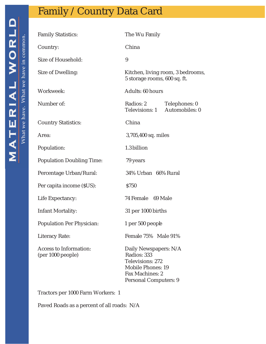# <span id="page-5-0"></span>**MATERIAL WORLD**

#### Family / Country Data Card

| <b>Family Statistics:</b>                   | The Wu Family                                                                                                             |  |
|---------------------------------------------|---------------------------------------------------------------------------------------------------------------------------|--|
| Country:                                    | China                                                                                                                     |  |
| Size of Household:                          | 9                                                                                                                         |  |
| Size of Dwelling:                           | Kitchen, living room, 3 bedrooms,<br>5 storage rooms, 600 sq. ft.                                                         |  |
| Workweek:                                   | Adults: 60 hours                                                                                                          |  |
| Number of:                                  | Radios: 2<br>Telephones: 0<br>Televisions: 1 Automobiles: 0                                                               |  |
| <b>Country Statistics:</b>                  | China                                                                                                                     |  |
| Area:                                       | 3,705,400 sq. miles                                                                                                       |  |
| Population:                                 | 1.3 billion                                                                                                               |  |
| <b>Population Doubling Time:</b>            | 79 years                                                                                                                  |  |
| Percentage Urban/Rural:                     | 34% Urban 66% Rural                                                                                                       |  |
| Per capita income (\$US):                   | \$750                                                                                                                     |  |
| Life Expectancy:                            | 74 Female 69 Male                                                                                                         |  |
| Infant Mortality:                           | 31 per 1000 births                                                                                                        |  |
| Population Per Physician:                   | 1 per 500 people                                                                                                          |  |
| Literacy Rate:                              | Female 75% Male 91%                                                                                                       |  |
| Access to Information:<br>(per 1000 people) | Daily Newspapers: N/A<br>Radios: 333<br>Televisions: 272<br>Mobile Phones: 19<br>Fax Machines: 2<br>Personal Computers: 9 |  |

Tractors per 1000 Farm Workers: 1

Paved Roads as a percent of all roads: N/A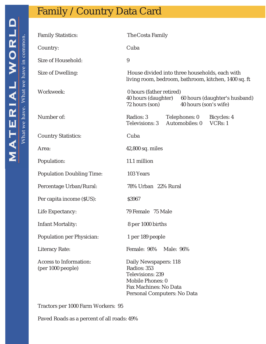<span id="page-6-0"></span>

| <b>Family Statistics:</b>                   | The Costa Family                                                                                                                     |
|---------------------------------------------|--------------------------------------------------------------------------------------------------------------------------------------|
| Country:                                    | Cuba                                                                                                                                 |
| Size of Household:                          | 9                                                                                                                                    |
| Size of Dwelling:                           | House divided into three households, each with<br>living room, bedroom, bathroom, kitchen, 1400 sq. ft                               |
| Workweek:                                   | 0 hours (father retired)<br>40 hours (daughter)<br>60 hours (daughter's husband)<br>72 hours (son)<br>40 hours (son's wife)          |
| Number of:                                  | Radios: 3<br>Telephones: 0<br>Bicycles: 4<br>Automobiles: 0<br>VCRs: 1<br>Televisions: 3                                             |
| <b>Country Statistics:</b>                  | Cuba                                                                                                                                 |
| Area:                                       | 42,800 sq. miles                                                                                                                     |
| Population:                                 | 11.1 million                                                                                                                         |
| <b>Population Doubling Time:</b>            | 103 Years                                                                                                                            |
| Percentage Urban/Rural:                     | 78% Urban 22% Rural                                                                                                                  |
| Per capita income (\$US):                   | \$3967                                                                                                                               |
| Life Expectancy:                            | 79 Female 75 Male                                                                                                                    |
| Infant Mortality:                           | 8 per 1000 births                                                                                                                    |
| Population per Physician:                   | 1 per 189 people                                                                                                                     |
| Literacy Rate:                              | Female: 96%<br>Male: 96%                                                                                                             |
| Access to Information:<br>(per 1000 people) | Daily Newspapers: 118<br>Radios: 353<br>Televisions: 239<br>Mobile Phones: 0<br>Fax Machines: No Data<br>Personal Computers: No Data |

Tractors per 1000 Farm Workers: 95

Paved Roads as a percent of all roads: 49%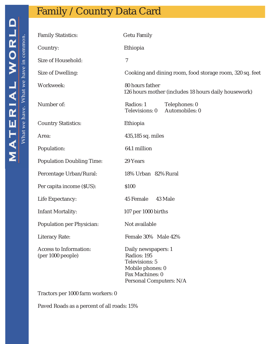<span id="page-7-0"></span>

| <b>Family Statistics:</b>                   | Getu Family                                                                                                            |
|---------------------------------------------|------------------------------------------------------------------------------------------------------------------------|
| Country:                                    | Ethiopia                                                                                                               |
| Size of Household:                          | $\overline{7}$                                                                                                         |
| Size of Dwelling:                           | Cooking and dining room, food storage room, 320 sq. feet                                                               |
| Workweek:                                   | 80 hours father<br>126 hours mother (includes 18 hours daily housework)                                                |
| Number of:                                  | Radios: 1<br>Telephones: 0<br>Automobiles: 0<br>Televisions: 0                                                         |
| <b>Country Statistics:</b>                  | Ethiopia                                                                                                               |
| Area:                                       | 435,185 sq. miles                                                                                                      |
| Population:                                 | 64.1 million                                                                                                           |
| <b>Population Doubling Time:</b>            | 29 Years                                                                                                               |
| Percentage Urban/Rural:                     | 18% Urban 82% Rural                                                                                                    |
| Per capita income (\$US):                   | \$100                                                                                                                  |
| Life Expectancy:                            | 45 Female<br>43 Male                                                                                                   |
| Infant Mortality:                           | 107 per 1000 births                                                                                                    |
| Population per Physician:                   | Not available                                                                                                          |
| Literacy Rate:                              | Female 30% Male 42%                                                                                                    |
| Access to Information:<br>(per 1000 people) | Daily newspapers: 1<br>Radios: 195<br>Televisions: 5<br>Mobile phones: 0<br>Fax Machines: 0<br>Personal Computers: N/A |

Tractors per 1000 farm workers: 0

Paved Roads as a percent of all roads: 15%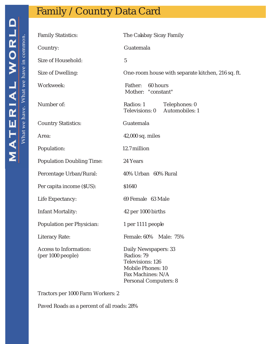<span id="page-8-0"></span>

| <b>Family Statistics:</b>                   | The Calabay Sicay Family                                                                                                  |
|---------------------------------------------|---------------------------------------------------------------------------------------------------------------------------|
| Country:                                    | Guatemala                                                                                                                 |
| Size of Household:                          | 5                                                                                                                         |
| Size of Dwelling:                           | One-room house with separate kitchen, 216 sq. ft.                                                                         |
| Workweek:                                   | Father: 60 hours<br>Mother: "constant"                                                                                    |
| Number of:                                  | Radios: 1 Telephones: 0<br>Televisions: 0 Automobiles: 1                                                                  |
| <b>Country Statistics:</b>                  | Guatemala                                                                                                                 |
| Area:                                       | 42,000 sq. miles                                                                                                          |
| Population:                                 | 12.7 million                                                                                                              |
| <b>Population Doubling Time:</b>            | 24 Years                                                                                                                  |
| Percentage Urban/Rural:                     | 40% Urban 60% Rural                                                                                                       |
| Per capita income (\$US):                   | \$1640                                                                                                                    |
| Life Expectancy:                            | 69 Female 63 Male                                                                                                         |
| Infant Mortality:                           | 42 per 1000 births                                                                                                        |
| Population per Physician:                   | 1 per 1111 people                                                                                                         |
| Literacy Rate:                              | Female: 60% Male: 75%                                                                                                     |
| Access to Information:<br>(per 1000 people) | Daily Newspapers: 33<br>Radios: 79<br>Televisions: 126<br>Mobile Phones: 10<br>Fax Machines: N/A<br>Personal Computers: 8 |

Tractors per 1000 Farm Workers: 2

Paved Roads as a percent of all roads: 28%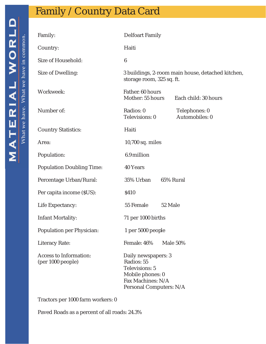# <span id="page-9-0"></span>**MATERIAL WORLD**

#### Family / Country Data Card

| Family:                                     | <b>Delfoart Family</b>                                                                                                  |                                 |
|---------------------------------------------|-------------------------------------------------------------------------------------------------------------------------|---------------------------------|
| Country:                                    | Haiti                                                                                                                   |                                 |
| Size of Household:                          | 6                                                                                                                       |                                 |
| Size of Dwelling:                           | 3 buildings, 2-room main house, detached kitchen,<br>storage room, 325 sq. ft.                                          |                                 |
| Workweek:                                   | Father: 60 hours<br>Mother: 55 hours                                                                                    | Each child: 30 hours            |
| Number of:                                  | Radios: 0<br>Televisions: 0                                                                                             | Telephones: 0<br>Automobiles: 0 |
| <b>Country Statistics:</b>                  | Haiti                                                                                                                   |                                 |
| Area:                                       | 10,700 sq. miles                                                                                                        |                                 |
| Population:                                 | 6.9 million                                                                                                             |                                 |
| <b>Population Doubling Time:</b>            | 40 Years                                                                                                                |                                 |
| Percentage Urban/Rural:                     | 35% Urban                                                                                                               | 65% Rural                       |
| Per capita income (\$US):                   | \$410                                                                                                                   |                                 |
| Life Expectancy:                            | 55 Female<br>52 Male                                                                                                    |                                 |
| Infant Mortality:                           | 71 per 1000 births                                                                                                      |                                 |
| Population per Physician:                   | 1 per 5000 people                                                                                                       |                                 |
| Literacy Rate:                              | Female: 46%                                                                                                             | Male 50%                        |
| Access to Information:<br>(per 1000 people) | Daily newspapers: 3<br>Radios: 55<br>Televisions: 5<br>Mobile phones: 0<br>Fax Machines: N/A<br>Personal Computers: N/A |                                 |

Tractors per 1000 farm workers: 0

Paved Roads as a percent of all roads: 24.3%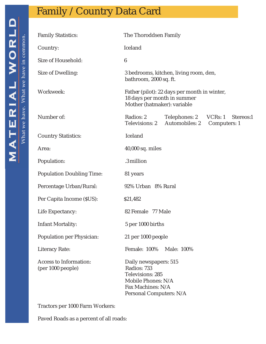<span id="page-10-0"></span>

| <b>Family Statistics:</b>                   | The Thoroddsen Family                                                                                                          |                                              |                                     |
|---------------------------------------------|--------------------------------------------------------------------------------------------------------------------------------|----------------------------------------------|-------------------------------------|
| Country:                                    | Iceland                                                                                                                        |                                              |                                     |
| Size of Household:                          | 6                                                                                                                              |                                              |                                     |
| Size of Dwelling:                           | bathroom, 2000 sq. ft.                                                                                                         | 3 bedrooms, kitchen, living room, den,       |                                     |
| Workweek:                                   | 18 days per month in summer<br>Mother (hatmaker): variable                                                                     | Father (pilot): 22 days per month in winter, |                                     |
| Number of:                                  | Radios: 2<br>Televisions: 2                                                                                                    | Telephones: 2<br>Automobiles: 2              | VCRs:1<br>Stereos:1<br>Computers: 1 |
| <b>Country Statistics:</b>                  | Iceland                                                                                                                        |                                              |                                     |
| Area:                                       | 40,000 sq. miles                                                                                                               |                                              |                                     |
| Population:                                 | .3 million                                                                                                                     |                                              |                                     |
| <b>Population Doubling Time:</b>            | 81 years                                                                                                                       |                                              |                                     |
| Percentage Urban/Rural:                     | 92% Urban 8% Rural                                                                                                             |                                              |                                     |
| Per Capita Income (\$US):                   | \$21,482                                                                                                                       |                                              |                                     |
| Life Expectancy:                            | 82 Female 77 Male                                                                                                              |                                              |                                     |
| Infant Mortality:                           | 5 per 1000 births                                                                                                              |                                              |                                     |
| Population per Physician:                   | 21 per 1000 people                                                                                                             |                                              |                                     |
| Literacy Rate:                              | Female: 100%                                                                                                                   | Male: 100%                                   |                                     |
| Access to Information:<br>(per 1000 people) | Daily newspapers: 515<br>Radios: 733<br>Televisions: 285<br>Mobile Phones: N/A<br>Fax Machines: N/A<br>Personal Computers: N/A |                                              |                                     |

Tractors per 1000 Farm Workers:

Paved Roads as a percent of all roads: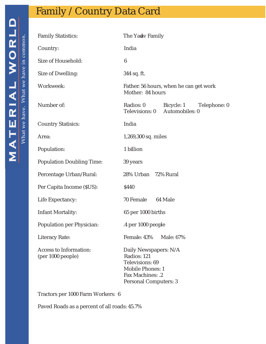<span id="page-11-0"></span>

| <b>Family Statistics:</b>                   | The Yadv Family                                                                                                                 |
|---------------------------------------------|---------------------------------------------------------------------------------------------------------------------------------|
| Country:                                    | India                                                                                                                           |
| Size of Household:                          | 6                                                                                                                               |
| Size of Dwelling:                           | 344 sq. ft.                                                                                                                     |
| Workweek:                                   | Father. 56 hours, when he can get work<br>Mother: 84 hours                                                                      |
| Number of:                                  | Radios: 0<br>Bicycle: 1<br>Telephone: 0<br>Televisions: 0 Automobiles: 0                                                        |
| <b>Country Statisics:</b>                   | India                                                                                                                           |
| Area:                                       | 1,269,300 sq. miles                                                                                                             |
| Population:                                 | 1 billion                                                                                                                       |
| <b>Population Doubling Time:</b>            | 39 years                                                                                                                        |
| Percentage Urban/Rural:                     | 28% Urban 72% Rural                                                                                                             |
| Per Capita Income (\$US):                   | \$440                                                                                                                           |
| Life Expectancy:                            | 70 Female 64 Male                                                                                                               |
| Infant Mortality:                           | 65 per 1000 births                                                                                                              |
| Population per Physician:                   | .4 per 1000 people                                                                                                              |
| Literacy Rate:                              | Female: 43%<br>Male: 67%                                                                                                        |
| Access to Information:<br>(per 1000 people) | Daily Newspapers: N/A<br>Radios: 121<br>Televisions: 69<br><b>Mobile Phones: 1</b><br>Fax Machines: .2<br>Personal Computers: 3 |

Tractors per 1000 Farm Workers: 6

Paved Roads as a percent of all roads: 45.7%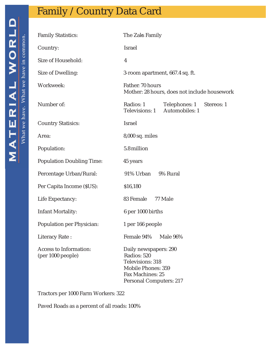<span id="page-12-0"></span>

| <b>Family Statistics:</b>                   | The Zaks Family                                                                                                               |  |
|---------------------------------------------|-------------------------------------------------------------------------------------------------------------------------------|--|
| Country:                                    | <b>Israel</b>                                                                                                                 |  |
| Size of Household:                          | 4                                                                                                                             |  |
| Size of Dwelling:                           | 3-room apartment, 667.4 sq. ft.                                                                                               |  |
| Workweek:                                   | Father: 70 hours<br>Mother: 28 hours, does not include housework                                                              |  |
| Number of:                                  | Radios: 1<br>Telephones: 1<br>Stereos: 1<br>Automobiles: 1<br>Televisions: 1                                                  |  |
| <b>Country Statisics:</b>                   | Israel                                                                                                                        |  |
| Area:                                       | 8,000 sq. miles                                                                                                               |  |
| Population:                                 | 5.8 million                                                                                                                   |  |
| <b>Population Doubling Time:</b>            | 45 years                                                                                                                      |  |
| Percentage Urban/Rural:                     | 91% Urban<br>9% Rural                                                                                                         |  |
| Per Capita Income (\$US):                   | \$16,180                                                                                                                      |  |
| Life Expectancy:                            | 83 Female<br>77 Male                                                                                                          |  |
| Infant Mortality:                           | 6 per 1000 births                                                                                                             |  |
| Population per Physician:                   | 1 per 166 people                                                                                                              |  |
| Literacy Rate:                              | Female 94%<br>Male 96%                                                                                                        |  |
| Access to Information:<br>(per 1000 people) | Daily newspapers: 290<br>Radios: 520<br>Televisions: 318<br>Mobile Phones: 359<br>Fax Machines: 25<br>Personal Computers: 217 |  |

Tractors per 1000 Farm Workers: 322

Paved Roads as a percent of all roads: 100%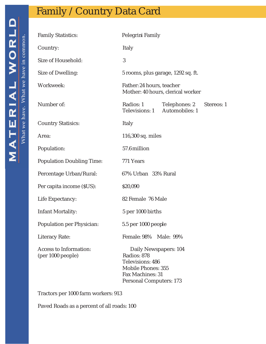<span id="page-13-0"></span>

| ł<br><b>CLAVA</b>                | What we have in common |
|----------------------------------|------------------------|
|                                  |                        |
|                                  |                        |
|                                  |                        |
| i                                |                        |
| <b>ALX</b><br> <br> <br> -<br> - | Vhat we have.          |
|                                  |                        |
|                                  |                        |
| $\mathbf{\Delta}$                |                        |
|                                  |                        |

| <b>Family Statistics:</b>                   | Pelegrini Family                                                                                                                     |  |
|---------------------------------------------|--------------------------------------------------------------------------------------------------------------------------------------|--|
| Country:                                    | Italy                                                                                                                                |  |
| Size of Household:                          | 3                                                                                                                                    |  |
| Size of Dwelling:                           | 5 rooms, plus garage, 1292 sq. ft.                                                                                                   |  |
| Workweek:                                   | Father: 24 hours, teacher<br>Mother: 40 hours, clerical worker                                                                       |  |
| Number of:                                  | Radios: 1<br>Telephones: 2<br>Stereos: 1<br>Televisions: 1 Automobiles: 1                                                            |  |
| <b>Country Statisics:</b>                   | Italy                                                                                                                                |  |
| Area:                                       | 116,300 sq. miles                                                                                                                    |  |
| Population:                                 | 57.6 million                                                                                                                         |  |
| <b>Population Doubling Time:</b>            | 771 Years                                                                                                                            |  |
| Percentage Urban/Rural:                     | 67% Urban 33% Rural                                                                                                                  |  |
| Per capita income (\$US):                   | \$20,090                                                                                                                             |  |
| Life Expectancy:                            | 82 Female 76 Male                                                                                                                    |  |
| Infant Mortality:                           | 5 per 1000 births                                                                                                                    |  |
| Population per Physician:                   | 5.5 per 1000 people                                                                                                                  |  |
| Literacy Rate:                              | Female: 98% Male: 99%                                                                                                                |  |
| Access to Information:<br>(per 1000 people) | Daily Newspapers: 104<br>Radios: 878<br>Televisions: 486<br>Mobile Phones: 355<br><b>Fax Machines: 31</b><br>Personal Computers: 173 |  |

Tractors per 1000 farm workers: 913

Paved Roads as a percent of all roads: 100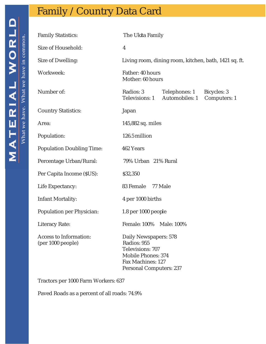<span id="page-14-0"></span>

| <b>Family Statistics:</b>                   | The Ukita Family                                                                                                               |  |
|---------------------------------------------|--------------------------------------------------------------------------------------------------------------------------------|--|
| Size of Household:                          | 4                                                                                                                              |  |
| Size of Dwelling:                           | Living room, dining room, kitchen, bath, 1421 sq. ft.                                                                          |  |
| Workweek:                                   | Father: 40 hours<br>Mother: 60 hours                                                                                           |  |
| Number of:                                  | Radios: 3<br>Telephones: 1 Bicycles: 3<br>Automobiles: 1<br>Televisions: 1<br>Computers: 1                                     |  |
| <b>Country Statistics:</b>                  | Japan                                                                                                                          |  |
| Area:                                       | 145,882 sq. miles                                                                                                              |  |
| Population:                                 | 126.5 million                                                                                                                  |  |
| Population Doubling Time:                   | 462 Years                                                                                                                      |  |
| Percentage Urban/Rural:                     | 79% Urban 21% Rural                                                                                                            |  |
| Per Capita Income (\$US):                   | \$32,350                                                                                                                       |  |
| Life Expectancy:                            | 83 Female<br>77 Male                                                                                                           |  |
| Infant Mortality:                           | 4 per 1000 births                                                                                                              |  |
| Population per Physician:                   | 1.8 per 1000 people                                                                                                            |  |
| Literacy Rate:                              | Female: 100% Male: 100%                                                                                                        |  |
| Access to Information:<br>(per 1000 people) | Daily Newspapers: 578<br>Radios: 955<br>Televisions: 707<br>Mobile Phones: 374<br>Fax Machines: 127<br>Personal Computers: 237 |  |

Tractors per 1000 Farm Workers: 637

Paved Roads as a percent of all roads: 74.9%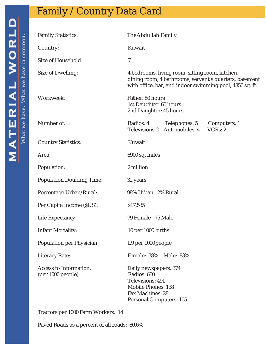<span id="page-15-0"></span>

| <b>Family Statistics:</b>                   | The Abdullah Family                                                                                                                                                   |  |
|---------------------------------------------|-----------------------------------------------------------------------------------------------------------------------------------------------------------------------|--|
| Country:                                    | Kuwait                                                                                                                                                                |  |
| Size of Household:                          | $\overline{7}$                                                                                                                                                        |  |
| Size of Dwelling:                           | 4 bedrooms, living room, sitting room, kitchen,<br>dining room, 4 bathrooms, servant's quarters, basement<br>with office, bar, and indoor swimming pool, 4850 sq. ft. |  |
| Workweek:                                   | Father: 50 hours<br>1st Daughter: 60 hours<br>2nd Daughter: 45 hours                                                                                                  |  |
| Number of:                                  | Radios: 4<br>Telephones: 5<br>Computers: 1<br>Automobiles: 4<br>VCRs: 2<br>Televisions 2                                                                              |  |
| <b>Country Statistics:</b>                  | Kuwait                                                                                                                                                                |  |
| Area:                                       | 6900 sq. miles                                                                                                                                                        |  |
| Population:                                 | 2 million                                                                                                                                                             |  |
| <b>Population Doubling Time:</b>            | 32 years                                                                                                                                                              |  |
| Percentage Urban/Rural:                     | 98% Urban 2% Rural                                                                                                                                                    |  |
| Per Capita Income (\$US):                   | \$17,535                                                                                                                                                              |  |
| Life Expectancy:                            | 79 Female 75 Male                                                                                                                                                     |  |
| Infant Mortality:                           | 10 per 1000 births                                                                                                                                                    |  |
| Population per Physician:                   | 1.9 per 1000 people                                                                                                                                                   |  |
| Literacy Rate:                              | Female: 78% Male: 83%                                                                                                                                                 |  |
| Access to Information:<br>(per 1000 people) | Daily newspapers: 374<br>Radios: 660<br>Televisions: 491<br>Mobile Phones: 138<br>Fax Machines: 28<br>Personal Computers: 105                                         |  |

Tractors per 1000 Farm Workers: 14

Paved Roads as a percent of all roads: 80.6%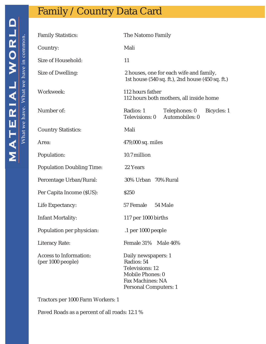<span id="page-16-0"></span>

| <b>Family Statistics:</b>                   | The Natomo Family                                                                                                     |
|---------------------------------------------|-----------------------------------------------------------------------------------------------------------------------|
| Country:                                    | Mali                                                                                                                  |
| Size of Household:                          | 11                                                                                                                    |
| Size of Dwelling:                           | 2 houses, one for each wife and family,<br>1st house (540 sq. ft.), 2nd house (450 sq. ft.)                           |
| Workweek:                                   | 112 hours father<br>112 hours both mothers, all inside home                                                           |
| Number of:                                  | Radios: 1<br>Telephones: 0<br>Bicycles: 1<br>Automobiles: 0<br>Televisions: 0                                         |
| <b>Country Statistics:</b>                  | Mali                                                                                                                  |
| Area:                                       | 479,000 sq. miles                                                                                                     |
| Population:                                 | 10.7 million                                                                                                          |
| <b>Population Doubling Time:</b>            | 22 Years                                                                                                              |
| Percentage Urban/Rural:                     | 30% Urban 70% Rural                                                                                                   |
| Per Capita Income (\$US):                   | \$250                                                                                                                 |
| Life Expectancy:                            | 57 Female<br>54 Male                                                                                                  |
| Infant Mortality:                           | 117 per 1000 births                                                                                                   |
| Population per physician:                   | .1 per 1000 people                                                                                                    |
| Literacy Rate:                              | Female 31% Male 46%                                                                                                   |
| Access to Information:<br>(per 1000 people) | Daily newspapers: 1<br>Radios: 54<br>Televisions: 12<br>Mobile Phones: 0<br>Fax Machines: NA<br>Personal Computers: 1 |

Tractors per 1000 Farm Workers: 1

Paved Roads as a percent of all roads: 12.1 %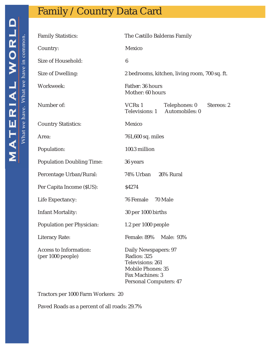<span id="page-17-0"></span>

| <b>Family Statistics:</b>                   | The Castillo Balderas Family                                                                                              |  |
|---------------------------------------------|---------------------------------------------------------------------------------------------------------------------------|--|
| Country:                                    | Mexico                                                                                                                    |  |
| Size of Household:                          | 6                                                                                                                         |  |
| Size of Dwelling:                           | 2 bedrooms, kitchen, living room, 700 sq. ft.                                                                             |  |
| Workweek:                                   | Father: 36 hours<br>Mother: 60 hours                                                                                      |  |
| Number of:                                  | VCR <sub>S</sub> : 1<br>Telephones: 0<br>Stereos: 2<br>Automobiles: 0<br>Televisions: 1                                   |  |
| <b>Country Statistics:</b>                  | Mexico                                                                                                                    |  |
| Area:                                       | 761,600 sq. miles                                                                                                         |  |
| Population:                                 | 100.3 million                                                                                                             |  |
| Population Doubling Time:                   | 36 years                                                                                                                  |  |
| Percentage Urban/Rural:                     | 74% Urban 26% Rural                                                                                                       |  |
| Per Capita Income (\$US):                   | \$4274                                                                                                                    |  |
| Life Expectancy:                            | 76 Female 70 Male                                                                                                         |  |
| Infant Mortality:                           | 30 per 1000 births                                                                                                        |  |
| Population per Physician:                   | 1.2 per 1000 people                                                                                                       |  |
| Literacy Rate:                              | Female: 89%<br>Male: 93%                                                                                                  |  |
| Access to Information:<br>(per 1000 people) | Daily Newspapers: 97<br>Radios: 325<br>Televisions: 261<br>Mobile Phones: 35<br>Fax Machines: 3<br>Personal Computers: 47 |  |

Tractors per 1000 Farm Workers: 20

Paved Roads as a percent of all roads: 29.7%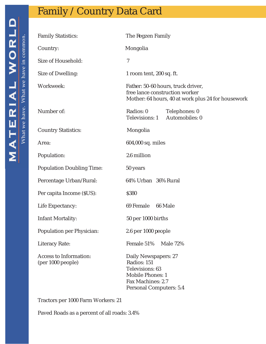<span id="page-18-0"></span>

| <b>Family Statistics:</b>                   | The Regzen Family                                                                                                                 |  |
|---------------------------------------------|-----------------------------------------------------------------------------------------------------------------------------------|--|
| Country:                                    | Mongolia                                                                                                                          |  |
| Size of Household:                          | $\overline{7}$                                                                                                                    |  |
| Size of Dwelling:                           | 1 room tent, 200 sq. ft.                                                                                                          |  |
| Workweek:                                   | Father: 50-60 hours, truck driver,<br>free lance construction worker<br>Mother: 64 hours, 40 at work plus 24 for housework        |  |
| Number of:                                  | Radios: 0<br>Telephones: 0<br>Automobiles: 0<br>Televisions: 1                                                                    |  |
| <b>Country Statistics:</b>                  | Mongolia                                                                                                                          |  |
| Area:                                       | 604,000 sq. miles                                                                                                                 |  |
| Population:                                 | 2.6 million                                                                                                                       |  |
| Population Doubling Time:                   | 50 years                                                                                                                          |  |
| Percentage Urban/Rural:                     | 64% Urban 36% Rural                                                                                                               |  |
| Per capita Income (\$US):                   | \$380                                                                                                                             |  |
| Life Expectancy:                            | 69 Female 66 Male                                                                                                                 |  |
| Infant Mortality:                           | 50 per 1000 births                                                                                                                |  |
| Population per Physician:                   | 2.6 per 1000 people                                                                                                               |  |
| Literacy Rate:                              | Female 51%<br><b>Male 72%</b>                                                                                                     |  |
| Access to Information:<br>(per 1000 people) | Daily Newspapers: 27<br>Radios: 151<br>Televisions: 63<br><b>Mobile Phones: 1</b><br>Fax Machines: 2.7<br>Personal Computers: 5.4 |  |

Tractors per 1000 Farm Workers: 21

Paved Roads as a percent of all roads: 3.4%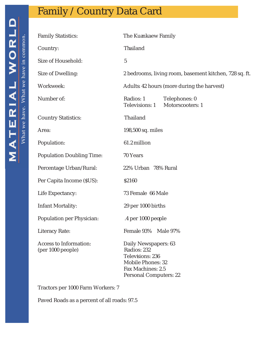<span id="page-19-0"></span>

| <b>Family Statistics:</b>                   | The Kuankaew Family                                                                                                               |
|---------------------------------------------|-----------------------------------------------------------------------------------------------------------------------------------|
| Country:                                    | Thailand                                                                                                                          |
| Size of Household:                          | 5                                                                                                                                 |
| Size of Dwelling:                           | 2 bedrooms, living room, basement kitchen, 728 sq. ft.                                                                            |
| Workweek:                                   | Adults: 42 hours (more during the harvest)                                                                                        |
| Number of:                                  | Radios: 1<br>Telephones: 0<br>Motorscooters: 1<br>Televisions: 1                                                                  |
| <b>Country Statistics:</b>                  | Thailand                                                                                                                          |
| Area:                                       | 198,500 sq. miles                                                                                                                 |
| Population:                                 | 61.2 million                                                                                                                      |
| <b>Population Doubling Time:</b>            | 70 Years                                                                                                                          |
| Percentage Urban/Rural:                     | 22% Urban 78% Rural                                                                                                               |
| Per Capita Income (\$US):                   | \$2160                                                                                                                            |
| Life Expectancy:                            | 73 Female 66 Male                                                                                                                 |
| Infant Mortality:                           | 29 per 1000 births                                                                                                                |
| Population per Physician:                   | .4 per 1000 people                                                                                                                |
| Literacy Rate:                              | Female 93% Male 97%                                                                                                               |
| Access to Information:<br>(per 1000 people) | Daily Newspapers: 63<br>Radios: 232<br>Televiions: 236<br><b>Mobile Phones: 32</b><br>Fax Machines: 2.5<br>Personal Computers: 22 |

Tractors per 1000 Farm Workers: 7

Paved Roads as a percent of all roads: 97.5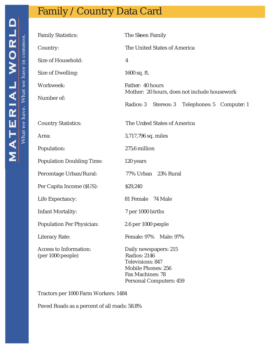<span id="page-20-0"></span>

| <b>Family Statistics:</b>                   | The Skeen Family                                                                                                               |  |
|---------------------------------------------|--------------------------------------------------------------------------------------------------------------------------------|--|
| Country:                                    | The United States of America                                                                                                   |  |
| Size of Household:                          | $\overline{4}$                                                                                                                 |  |
| Size of Dwelling:                           | 1600 sq. ft.                                                                                                                   |  |
| Workweek:                                   | Father: 40 hours<br>Mother: 20 hours, does not include housework                                                               |  |
| Number of:                                  | Radios: 3<br>Stereos: 3 Telephones: 5 Computer: 1                                                                              |  |
| <b>Country Statistics:</b>                  | The United States of America                                                                                                   |  |
| Area:                                       | 3,717,796 sq. miles                                                                                                            |  |
| Population:                                 | 275.6 million                                                                                                                  |  |
| <b>Population Doubling Time:</b>            | 120 years                                                                                                                      |  |
| Percentage Urban/Rural:                     | 77% Urban 23% Rural                                                                                                            |  |
| Per Capita Income (\$US):                   | \$29,240                                                                                                                       |  |
| Life Expectancy:                            | 81 Female 74 Male                                                                                                              |  |
| Infant Mortality:                           | 7 per 1000 births                                                                                                              |  |
| Population Per Physician:                   | 2.6 per 1000 people                                                                                                            |  |
| Literacy Rate:                              | Female: 97%<br>Male: 97%                                                                                                       |  |
| Access to Information:<br>(per 1000 people) | Daily newspapers: 215<br>Radios: 2146<br>Televisions: 847<br>Mobile Phones: 256<br>Fax Machines: 78<br>Personal Computers: 459 |  |

Tractors per 1000 Farm Workers: 1484

Paved Roads as a percent of all roads: 58.8%